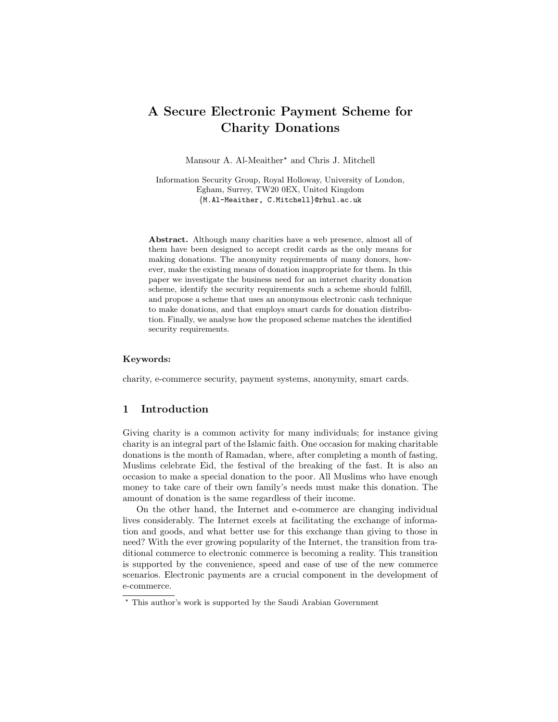# A Secure Electronic Payment Scheme for Charity Donations

Mansour A. Al-Meaither? and Chris J. Mitchell

Information Security Group, Royal Holloway, University of London, Egham, Surrey, TW20 0EX, United Kingdom {M.Al-Meaither, C.Mitchell}@rhul.ac.uk

Abstract. Although many charities have a web presence, almost all of them have been designed to accept credit cards as the only means for making donations. The anonymity requirements of many donors, however, make the existing means of donation inappropriate for them. In this paper we investigate the business need for an internet charity donation scheme, identify the security requirements such a scheme should fulfill, and propose a scheme that uses an anonymous electronic cash technique to make donations, and that employs smart cards for donation distribution. Finally, we analyse how the proposed scheme matches the identified security requirements.

## Keywords:

charity, e-commerce security, payment systems, anonymity, smart cards.

# 1 Introduction

Giving charity is a common activity for many individuals; for instance giving charity is an integral part of the Islamic faith. One occasion for making charitable donations is the month of Ramadan, where, after completing a month of fasting, Muslims celebrate Eid, the festival of the breaking of the fast. It is also an occasion to make a special donation to the poor. All Muslims who have enough money to take care of their own family's needs must make this donation. The amount of donation is the same regardless of their income.

On the other hand, the Internet and e-commerce are changing individual lives considerably. The Internet excels at facilitating the exchange of information and goods, and what better use for this exchange than giving to those in need? With the ever growing popularity of the Internet, the transition from traditional commerce to electronic commerce is becoming a reality. This transition is supported by the convenience, speed and ease of use of the new commerce scenarios. Electronic payments are a crucial component in the development of e-commerce.

<sup>?</sup> This author's work is supported by the Saudi Arabian Government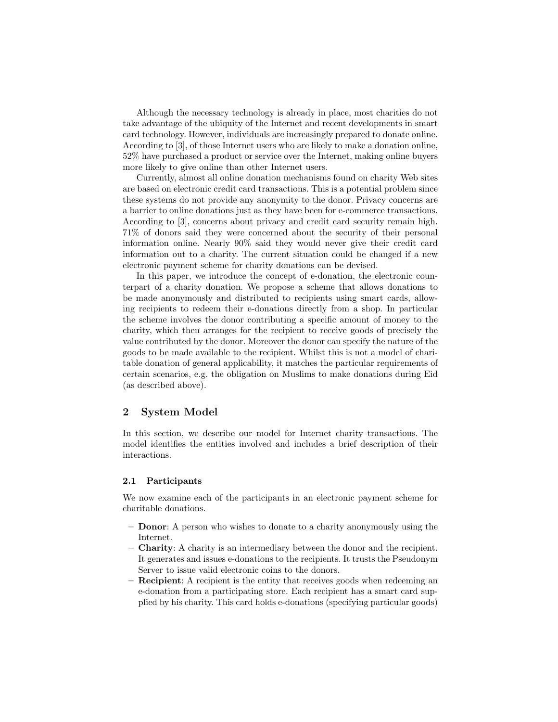Although the necessary technology is already in place, most charities do not take advantage of the ubiquity of the Internet and recent developments in smart card technology. However, individuals are increasingly prepared to donate online. According to [3], of those Internet users who are likely to make a donation online, 52% have purchased a product or service over the Internet, making online buyers more likely to give online than other Internet users.

Currently, almost all online donation mechanisms found on charity Web sites are based on electronic credit card transactions. This is a potential problem since these systems do not provide any anonymity to the donor. Privacy concerns are a barrier to online donations just as they have been for e-commerce transactions. According to [3], concerns about privacy and credit card security remain high. 71% of donors said they were concerned about the security of their personal information online. Nearly 90% said they would never give their credit card information out to a charity. The current situation could be changed if a new electronic payment scheme for charity donations can be devised.

In this paper, we introduce the concept of e-donation, the electronic counterpart of a charity donation. We propose a scheme that allows donations to be made anonymously and distributed to recipients using smart cards, allowing recipients to redeem their e-donations directly from a shop. In particular the scheme involves the donor contributing a specific amount of money to the charity, which then arranges for the recipient to receive goods of precisely the value contributed by the donor. Moreover the donor can specify the nature of the goods to be made available to the recipient. Whilst this is not a model of charitable donation of general applicability, it matches the particular requirements of certain scenarios, e.g. the obligation on Muslims to make donations during Eid (as described above).

# 2 System Model

In this section, we describe our model for Internet charity transactions. The model identifies the entities involved and includes a brief description of their interactions.

## 2.1 Participants

We now examine each of the participants in an electronic payment scheme for charitable donations.

- Donor: A person who wishes to donate to a charity anonymously using the Internet.
- Charity: A charity is an intermediary between the donor and the recipient. It generates and issues e-donations to the recipients. It trusts the Pseudonym Server to issue valid electronic coins to the donors.
- Recipient: A recipient is the entity that receives goods when redeeming an e-donation from a participating store. Each recipient has a smart card supplied by his charity. This card holds e-donations (specifying particular goods)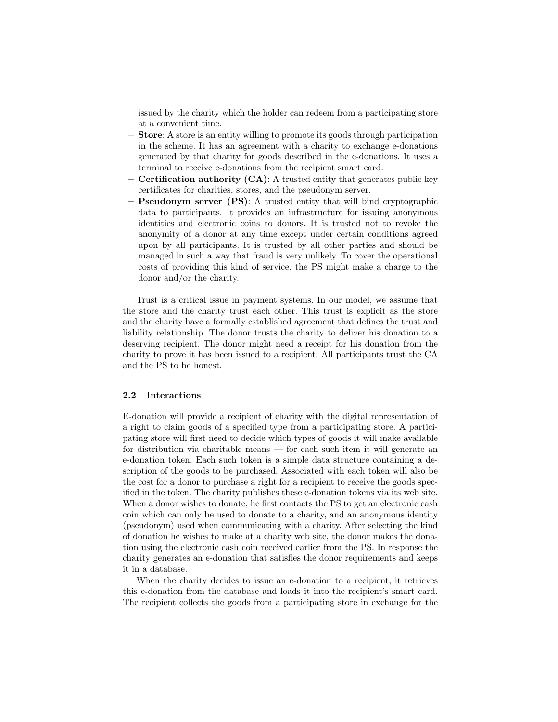issued by the charity which the holder can redeem from a participating store at a convenient time.

- Store: A store is an entity willing to promote its goods through participation in the scheme. It has an agreement with a charity to exchange e-donations generated by that charity for goods described in the e-donations. It uses a terminal to receive e-donations from the recipient smart card.
- **Certification authority (CA)**: A trusted entity that generates public key certificates for charities, stores, and the pseudonym server.
- Pseudonym server (PS): A trusted entity that will bind cryptographic data to participants. It provides an infrastructure for issuing anonymous identities and electronic coins to donors. It is trusted not to revoke the anonymity of a donor at any time except under certain conditions agreed upon by all participants. It is trusted by all other parties and should be managed in such a way that fraud is very unlikely. To cover the operational costs of providing this kind of service, the PS might make a charge to the donor and/or the charity.

Trust is a critical issue in payment systems. In our model, we assume that the store and the charity trust each other. This trust is explicit as the store and the charity have a formally established agreement that defines the trust and liability relationship. The donor trusts the charity to deliver his donation to a deserving recipient. The donor might need a receipt for his donation from the charity to prove it has been issued to a recipient. All participants trust the CA and the PS to be honest.

## 2.2 Interactions

E-donation will provide a recipient of charity with the digital representation of a right to claim goods of a specified type from a participating store. A participating store will first need to decide which types of goods it will make available for distribution via charitable means — for each such item it will generate an e-donation token. Each such token is a simple data structure containing a description of the goods to be purchased. Associated with each token will also be the cost for a donor to purchase a right for a recipient to receive the goods specified in the token. The charity publishes these e-donation tokens via its web site. When a donor wishes to donate, he first contacts the PS to get an electronic cash coin which can only be used to donate to a charity, and an anonymous identity (pseudonym) used when communicating with a charity. After selecting the kind of donation he wishes to make at a charity web site, the donor makes the donation using the electronic cash coin received earlier from the PS. In response the charity generates an e-donation that satisfies the donor requirements and keeps it in a database.

When the charity decides to issue an e-donation to a recipient, it retrieves this e-donation from the database and loads it into the recipient's smart card. The recipient collects the goods from a participating store in exchange for the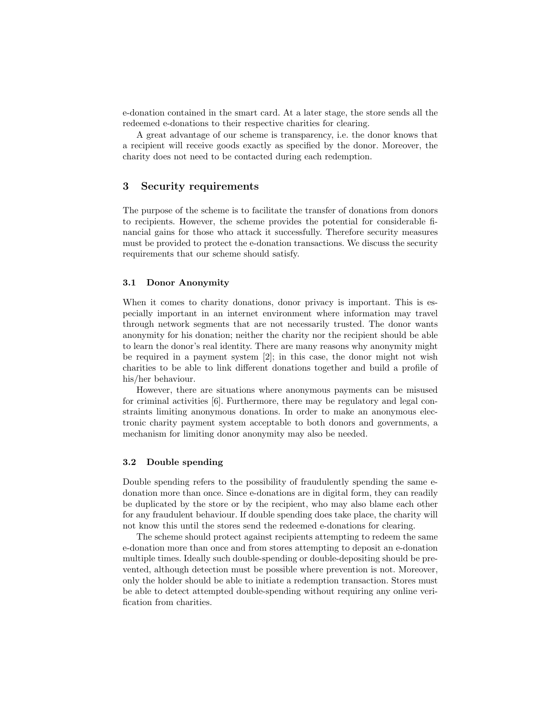e-donation contained in the smart card. At a later stage, the store sends all the redeemed e-donations to their respective charities for clearing.

A great advantage of our scheme is transparency, i.e. the donor knows that a recipient will receive goods exactly as specified by the donor. Moreover, the charity does not need to be contacted during each redemption.

# 3 Security requirements

The purpose of the scheme is to facilitate the transfer of donations from donors to recipients. However, the scheme provides the potential for considerable financial gains for those who attack it successfully. Therefore security measures must be provided to protect the e-donation transactions. We discuss the security requirements that our scheme should satisfy.

#### 3.1 Donor Anonymity

When it comes to charity donations, donor privacy is important. This is especially important in an internet environment where information may travel through network segments that are not necessarily trusted. The donor wants anonymity for his donation; neither the charity nor the recipient should be able to learn the donor's real identity. There are many reasons why anonymity might be required in a payment system [2]; in this case, the donor might not wish charities to be able to link different donations together and build a profile of his/her behaviour.

However, there are situations where anonymous payments can be misused for criminal activities [6]. Furthermore, there may be regulatory and legal constraints limiting anonymous donations. In order to make an anonymous electronic charity payment system acceptable to both donors and governments, a mechanism for limiting donor anonymity may also be needed.

## 3.2 Double spending

Double spending refers to the possibility of fraudulently spending the same edonation more than once. Since e-donations are in digital form, they can readily be duplicated by the store or by the recipient, who may also blame each other for any fraudulent behaviour. If double spending does take place, the charity will not know this until the stores send the redeemed e-donations for clearing.

The scheme should protect against recipients attempting to redeem the same e-donation more than once and from stores attempting to deposit an e-donation multiple times. Ideally such double-spending or double-depositing should be prevented, although detection must be possible where prevention is not. Moreover, only the holder should be able to initiate a redemption transaction. Stores must be able to detect attempted double-spending without requiring any online verification from charities.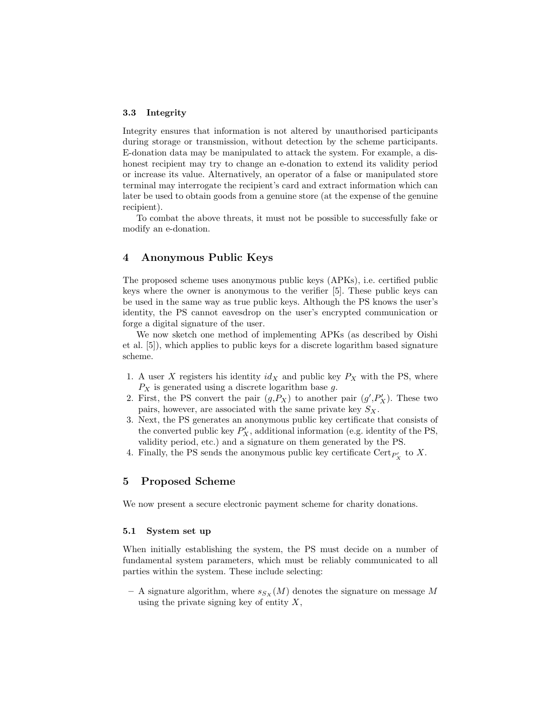#### 3.3 Integrity

Integrity ensures that information is not altered by unauthorised participants during storage or transmission, without detection by the scheme participants. E-donation data may be manipulated to attack the system. For example, a dishonest recipient may try to change an e-donation to extend its validity period or increase its value. Alternatively, an operator of a false or manipulated store terminal may interrogate the recipient's card and extract information which can later be used to obtain goods from a genuine store (at the expense of the genuine recipient).

To combat the above threats, it must not be possible to successfully fake or modify an e-donation.

# 4 Anonymous Public Keys

The proposed scheme uses anonymous public keys (APKs), i.e. certified public keys where the owner is anonymous to the verifier [5]. These public keys can be used in the same way as true public keys. Although the PS knows the user's identity, the PS cannot eavesdrop on the user's encrypted communication or forge a digital signature of the user.

We now sketch one method of implementing APKs (as described by Oishi et al. [5]), which applies to public keys for a discrete logarithm based signature scheme.

- 1. A user X registers his identity  $id_X$  and public key  $P_X$  with the PS, where  $P_X$  is generated using a discrete logarithm base  $g$ .
- 2. First, the PS convert the pair  $(g, P_X)$  to another pair  $(g', P'_X)$ . These two pairs, however, are associated with the same private key  $S_X$ .
- 3. Next, the PS generates an anonymous public key certificate that consists of the converted public key  $P'_X$ , additional information (e.g. identity of the PS, validity period, etc.) and a signature on them generated by the PS.
- 4. Finally, the PS sends the anonymous public key certificate  $\mathrm{Cert}_{P'_X}$  to X.

# 5 Proposed Scheme

We now present a secure electronic payment scheme for charity donations.

#### 5.1 System set up

When initially establishing the system, the PS must decide on a number of fundamental system parameters, which must be reliably communicated to all parties within the system. These include selecting:

– A signature algorithm, where  $s_{S_X}(M)$  denotes the signature on message M using the private signing key of entity  $X$ ,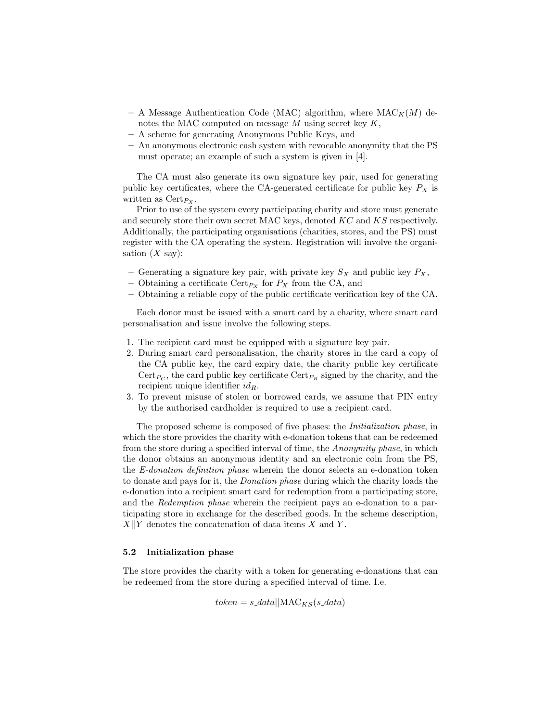- A Message Authentication Code (MAC) algorithm, where  $MAC_K(M)$  denotes the MAC computed on message  $M$  using secret key  $K$ ,
- A scheme for generating Anonymous Public Keys, and
- An anonymous electronic cash system with revocable anonymity that the PS must operate; an example of such a system is given in [4].

The CA must also generate its own signature key pair, used for generating public key certificates, where the CA-generated certificate for public key  $P_X$  is written as  $Cert_{P_X}$ .

Prior to use of the system every participating charity and store must generate and securely store their own secret MAC keys, denoted KC and KS respectively. Additionally, the participating organisations (charities, stores, and the PS) must register with the CA operating the system. Registration will involve the organisation  $(X \text{ say})$ :

- Generating a signature key pair, with private key  $S_X$  and public key  $P_X$ ,
- Obtaining a certificate  $\text{Cert}_{P_X}$  for  $P_X$  from the CA, and
- Obtaining a reliable copy of the public certificate verification key of the CA.

Each donor must be issued with a smart card by a charity, where smart card personalisation and issue involve the following steps.

- 1. The recipient card must be equipped with a signature key pair.
- 2. During smart card personalisation, the charity stores in the card a copy of the CA public key, the card expiry date, the charity public key certificate  $Cert_{P_C}$ , the card public key certificate  $Cert_{P_R}$  signed by the charity, and the recipient unique identifier  $id_R$ .
- 3. To prevent misuse of stolen or borrowed cards, we assume that PIN entry by the authorised cardholder is required to use a recipient card.

The proposed scheme is composed of five phases: the Initialization phase, in which the store provides the charity with e-donation tokens that can be redeemed from the store during a specified interval of time, the Anonymity phase, in which the donor obtains an anonymous identity and an electronic coin from the PS, the E-donation definition phase wherein the donor selects an e-donation token to donate and pays for it, the Donation phase during which the charity loads the e-donation into a recipient smart card for redemption from a participating store, and the Redemption phase wherein the recipient pays an e-donation to a participating store in exchange for the described goods. In the scheme description,  $X||Y$  denotes the concatenation of data items X and Y.

## 5.2 Initialization phase

The store provides the charity with a token for generating e-donations that can be redeemed from the store during a specified interval of time. I.e.

 $token = s\_data \vert \vert \text{MAC}_{KS}(s\_data)$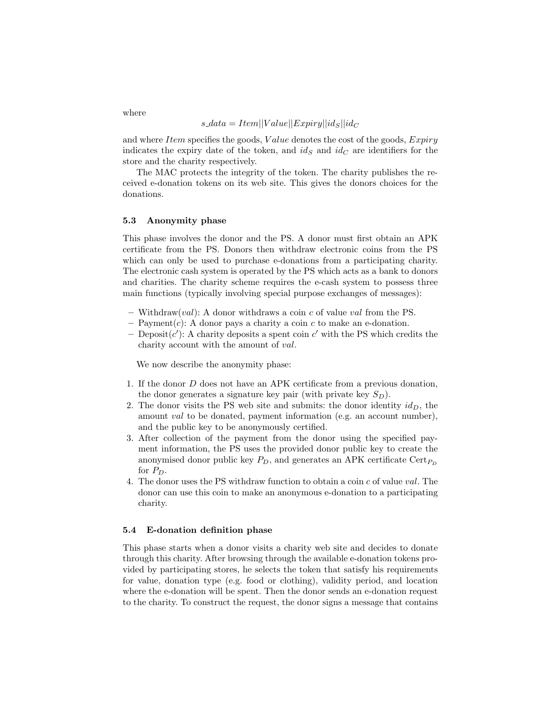$s\_data = Item||Value||Expiry||id_S||id_C$ 

and where Item specifies the goods, Value denotes the cost of the goods,  $Expiry$ indicates the expiry date of the token, and  $id<sub>S</sub>$  and  $id<sub>C</sub>$  are identifiers for the store and the charity respectively.

The MAC protects the integrity of the token. The charity publishes the received e-donation tokens on its web site. This gives the donors choices for the donations.

#### 5.3 Anonymity phase

This phase involves the donor and the PS. A donor must first obtain an APK certificate from the PS. Donors then withdraw electronic coins from the PS which can only be used to purchase e-donations from a participating charity. The electronic cash system is operated by the PS which acts as a bank to donors and charities. The charity scheme requires the e-cash system to possess three main functions (typically involving special purpose exchanges of messages):

- Withdraw(val): A donor withdraws a coin c of value val from the PS.
- Payment $(c)$ : A donor pays a charity a coin c to make an e-donation.
- Deposit $(c')$ : A charity deposits a spent coin c' with the PS which credits the charity account with the amount of val.

We now describe the anonymity phase:

- 1. If the donor D does not have an APK certificate from a previous donation, the donor generates a signature key pair (with private key  $S_D$ ).
- 2. The donor visits the PS web site and submits: the donor identity  $id_D$ , the amount val to be donated, payment information (e.g. an account number), and the public key to be anonymously certified.
- 3. After collection of the payment from the donor using the specified payment information, the PS uses the provided donor public key to create the anonymised donor public key  $P_D$ , and generates an APK certificate  $\text{Cert}_{P_D}$ for  $P_D$ .
- 4. The donor uses the PS withdraw function to obtain a coin c of value val. The donor can use this coin to make an anonymous e-donation to a participating charity.

#### 5.4 E-donation definition phase

This phase starts when a donor visits a charity web site and decides to donate through this charity. After browsing through the available e-donation tokens provided by participating stores, he selects the token that satisfy his requirements for value, donation type (e.g. food or clothing), validity period, and location where the e-donation will be spent. Then the donor sends an e-donation request to the charity. To construct the request, the donor signs a message that contains

where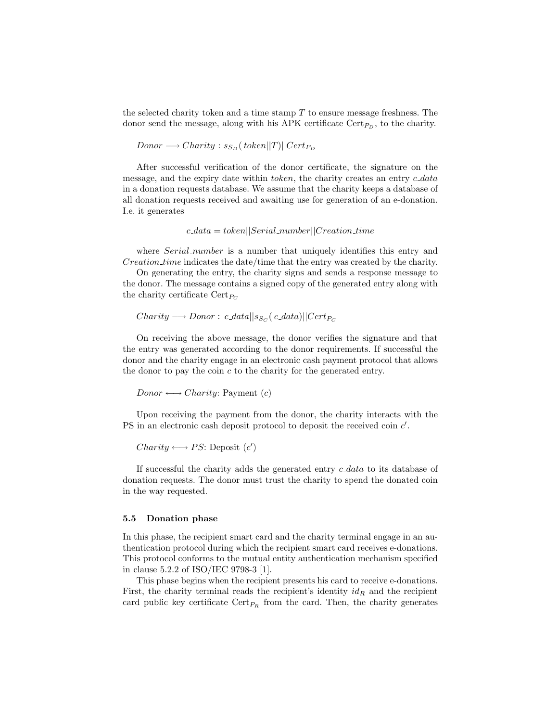the selected charity token and a time stamp  $T$  to ensure message freshness. The donor send the message, along with his APK certificate  $Cert_{P_D}$ , to the charity.

$$
Donor \longrightarrow Charity: s_{S_D}(token || T) || Cert_{P_D}
$$

After successful verification of the donor certificate, the signature on the message, and the expiry date within  $token$ , the charity creates an entry  $c\_data$ in a donation requests database. We assume that the charity keeps a database of all donation requests received and awaiting use for generation of an e-donation. I.e. it generates

$$
c\_data = token||\n\textit{Serial_number}||\n\textit{Creaction_time}
$$

where *Serial\_number* is a number that uniquely identifies this entry and Creation time indicates the date/time that the entry was created by the charity.

On generating the entry, the charity signs and sends a response message to the donor. The message contains a signed copy of the generated entry along with the charity certificate  $\text{Cert}_{P_C}$ 

$$
Charity \longrightarrow Donor: c\_data||s_{S_C}(c\_data)||Cert_{P_C}
$$

On receiving the above message, the donor verifies the signature and that the entry was generated according to the donor requirements. If successful the donor and the charity engage in an electronic cash payment protocol that allows the donor to pay the coin  $c$  to the charity for the generated entry.

```
Donor \longleftrightarrow Charity: Payment (c)
```
Upon receiving the payment from the donor, the charity interacts with the PS in an electronic cash deposit protocol to deposit the received coin  $c'$ .

 $Charity \longleftrightarrow PS: Deposit (c')$ 

If successful the charity adds the generated entry  $c$ - $data$  to its database of donation requests. The donor must trust the charity to spend the donated coin in the way requested.

#### 5.5 Donation phase

In this phase, the recipient smart card and the charity terminal engage in an authentication protocol during which the recipient smart card receives e-donations. This protocol conforms to the mutual entity authentication mechanism specified in clause 5.2.2 of ISO/IEC 9798-3 [1].

This phase begins when the recipient presents his card to receive e-donations. First, the charity terminal reads the recipient's identity  $id_R$  and the recipient card public key certificate  $\text{Cert}_{P_R}$  from the card. Then, the charity generates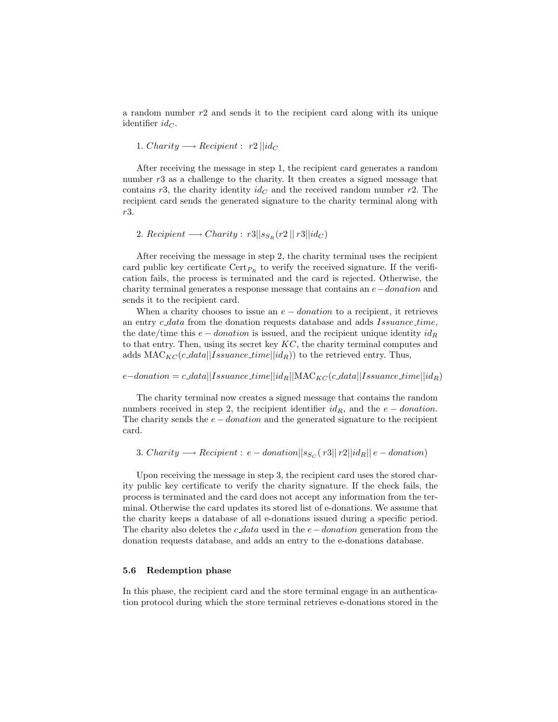a random number r2 and sends it to the recipient card along with its unique identifier  $id_C$ .

1. Charity  $\longrightarrow$  Recipient : r2  $||id_C$ 

After receiving the message in step 1, the recipient card generates a random number  $r3$  as a challenge to the charity. It then creates a signed message that contains r3, the charity identity  $id_C$  and the received random number r2. The recipient card sends the generated signature to the charity terminal along with r3.

# 2. Recipient  $\longrightarrow$  Charity :  $r3||s_{S_R}(r2||r3||id_C)$

After receiving the message in step 2, the charity terminal uses the recipient card public key certificate  $\text{Cert}_{P_R}$  to verify the received signature. If the verification fails, the process is terminated and the card is rejected. Otherwise, the charity terminal generates a response message that contains an e−donation and sends it to the recipient card.

When a charity chooses to issue an  $e$  – donation to a recipient, it retrieves an entry c\_data from the donation requests database and adds Issuance\_time, the date/time this  $e -$ donation is issued, and the recipient unique identity  $id_R$ to that entry. Then, using its secret key  $KC$ , the charity terminal computes and adds  $MAC_{KC}(c.data||Issuance_time||id_R))$  to the retrieved entry. Thus,

 $e$ −donation = c\_data||Issuance\_time||id<sub>R</sub>||MAC<sub>KC</sub>(c\_data||Issuance\_time||id<sub>R</sub>)

The charity terminal now creates a signed message that contains the random numbers received in step 2, the recipient identifier  $id_R$ , and the  $e$  – donation. The charity sends the  $e$  – donation and the generated signature to the recipient card.

3. Charity  $\longrightarrow Recipient: e-domain |s_{S_C}(r3|| r2||id_R|| e-domain)$ 

Upon receiving the message in step 3, the recipient card uses the stored charity public key certificate to verify the charity signature. If the check fails, the process is terminated and the card does not accept any information from the terminal. Otherwise the card updates its stored list of e-donations. We assume that the charity keeps a database of all e-donations issued during a specific period. The charity also deletes the c\_data used in the  $e$  –donation generation from the donation requests database, and adds an entry to the e-donations database.

## 5.6 Redemption phase

In this phase, the recipient card and the store terminal engage in an authentication protocol during which the store terminal retrieves e-donations stored in the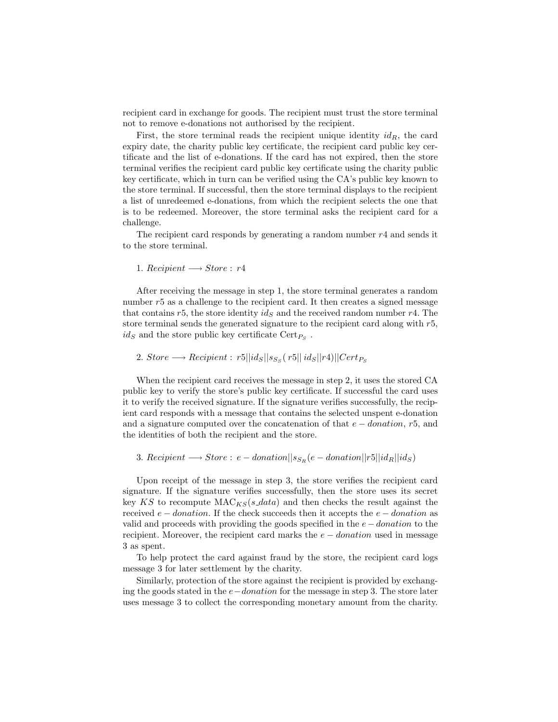recipient card in exchange for goods. The recipient must trust the store terminal not to remove e-donations not authorised by the recipient.

First, the store terminal reads the recipient unique identity  $id_R$ , the card expiry date, the charity public key certificate, the recipient card public key certificate and the list of e-donations. If the card has not expired, then the store terminal verifies the recipient card public key certificate using the charity public key certificate, which in turn can be verified using the CA's public key known to the store terminal. If successful, then the store terminal displays to the recipient a list of unredeemed e-donations, from which the recipient selects the one that is to be redeemed. Moreover, the store terminal asks the recipient card for a challenge.

The recipient card responds by generating a random number  $r4$  and sends it to the store terminal.

#### 1. Recipient  $\longrightarrow$  Store : r4

After receiving the message in step 1, the store terminal generates a random number r5 as a challenge to the recipient card. It then creates a signed message that contains  $r5$ , the store identity  $id<sub>S</sub>$  and the received random number  $r4$ . The store terminal sends the generated signature to the recipient card along with r5,  $id_S$  and the store public key certificate  $\mathrm{Cert}_{P_S}$  .

# $2.\ Store \longrightarrow Recipient: \ r5||id_{S}||s_{S_{S}}(\ r5||\ id_{S}||r4)||Cert_{P_{S}}$

When the recipient card receives the message in step 2, it uses the stored CA public key to verify the store's public key certificate. If successful the card uses it to verify the received signature. If the signature verifies successfully, the recipient card responds with a message that contains the selected unspent e-donation and a signature computed over the concatenation of that  $e$  – donation, r5, and the identities of both the recipient and the store.

3. Recipient  $\longrightarrow$  Store : e – donation $||s_{S_R}(e -$ donation $||r5||id_R||id_S)$ 

Upon receipt of the message in step 3, the store verifies the recipient card signature. If the signature verifies successfully, then the store uses its secret key KS to recompute  $MAC_{KS}(s.data)$  and then checks the result against the received  $e -$  donation. If the check succeeds then it accepts the  $e -$  donation as valid and proceeds with providing the goods specified in the  $e$  – donation to the recipient. Moreover, the recipient card marks the  $e$  – donation used in message 3 as spent.

To help protect the card against fraud by the store, the recipient card logs message 3 for later settlement by the charity.

Similarly, protection of the store against the recipient is provided by exchanging the goods stated in the  $e$ -donation for the message in step 3. The store later uses message 3 to collect the corresponding monetary amount from the charity.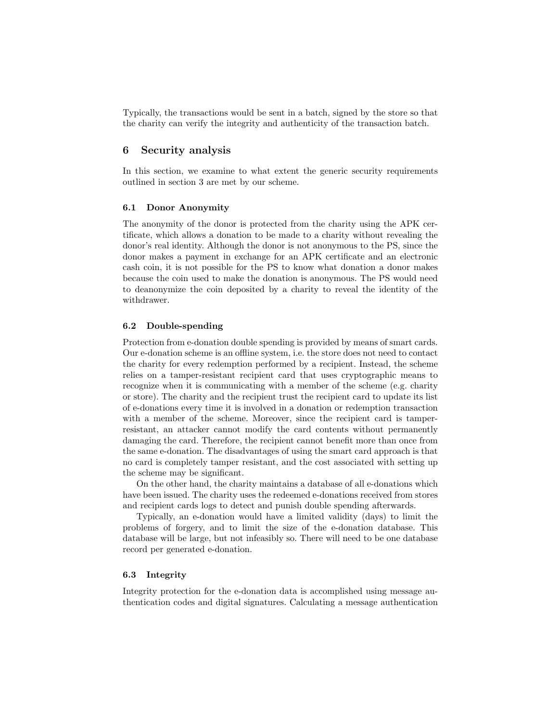Typically, the transactions would be sent in a batch, signed by the store so that the charity can verify the integrity and authenticity of the transaction batch.

# 6 Security analysis

In this section, we examine to what extent the generic security requirements outlined in section 3 are met by our scheme.

## 6.1 Donor Anonymity

The anonymity of the donor is protected from the charity using the APK certificate, which allows a donation to be made to a charity without revealing the donor's real identity. Although the donor is not anonymous to the PS, since the donor makes a payment in exchange for an APK certificate and an electronic cash coin, it is not possible for the PS to know what donation a donor makes because the coin used to make the donation is anonymous. The PS would need to deanonymize the coin deposited by a charity to reveal the identity of the withdrawer.

## 6.2 Double-spending

Protection from e-donation double spending is provided by means of smart cards. Our e-donation scheme is an offline system, i.e. the store does not need to contact the charity for every redemption performed by a recipient. Instead, the scheme relies on a tamper-resistant recipient card that uses cryptographic means to recognize when it is communicating with a member of the scheme (e.g. charity or store). The charity and the recipient trust the recipient card to update its list of e-donations every time it is involved in a donation or redemption transaction with a member of the scheme. Moreover, since the recipient card is tamperresistant, an attacker cannot modify the card contents without permanently damaging the card. Therefore, the recipient cannot benefit more than once from the same e-donation. The disadvantages of using the smart card approach is that no card is completely tamper resistant, and the cost associated with setting up the scheme may be significant.

On the other hand, the charity maintains a database of all e-donations which have been issued. The charity uses the redeemed e-donations received from stores and recipient cards logs to detect and punish double spending afterwards.

Typically, an e-donation would have a limited validity (days) to limit the problems of forgery, and to limit the size of the e-donation database. This database will be large, but not infeasibly so. There will need to be one database record per generated e-donation.

#### 6.3 Integrity

Integrity protection for the e-donation data is accomplished using message authentication codes and digital signatures. Calculating a message authentication